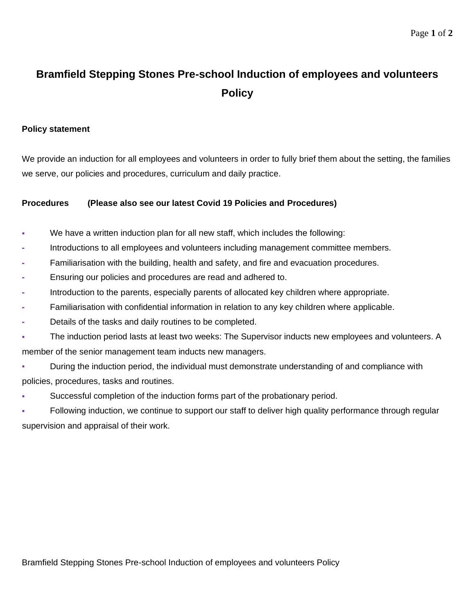## **Bramfield Stepping Stones Pre-school Induction of employees and volunteers Policy**

## **Policy statement**

We provide an induction for all employees and volunteers in order to fully brief them about the setting, the families we serve, our policies and procedures, curriculum and daily practice.

## **Procedures (Please also see our latest Covid 19 Policies and Procedures)**

- We have a written induction plan for all new staff, which includes the following:
- **-** Introductions to all employees and volunteers including management committee members.
- **-** Familiarisation with the building, health and safety, and fire and evacuation procedures.
- **-** Ensuring our policies and procedures are read and adhered to.
- **-** Introduction to the parents, especially parents of allocated key children where appropriate.
- **-** Familiarisation with confidential information in relation to any key children where applicable.
- **-** Details of the tasks and daily routines to be completed.
- The induction period lasts at least two weeks: The Supervisor inducts new employees and volunteers. A member of the senior management team inducts new managers.
- During the induction period, the individual must demonstrate understanding of and compliance with policies, procedures, tasks and routines.
- Successful completion of the induction forms part of the probationary period.
- Following induction, we continue to support our staff to deliver high quality performance through regular supervision and appraisal of their work.